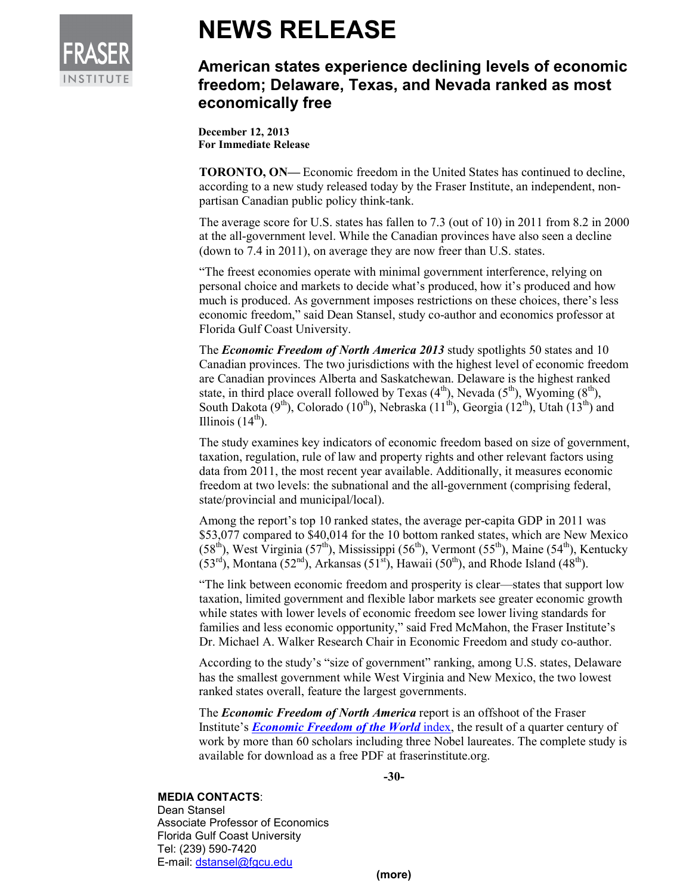

# **NEWS RELEASE**

## **American states experience declining levels of economic freedom; Delaware, Texas, and Nevada ranked as most economically free**

**December 12, 2013 For Immediate Release** 

**TORONTO, ON—** Economic freedom in the United States has continued to decline, according to a new study released today by the Fraser Institute, an independent, nonpartisan Canadian public policy think-tank.

The average score for U.S. states has fallen to 7.3 (out of 10) in 2011 from 8.2 in 2000 at the all-government level. While the Canadian provinces have also seen a decline (down to 7.4 in 2011), on average they are now freer than U.S. states.

"The freest economies operate with minimal government interference, relying on personal choice and markets to decide what's produced, how it's produced and how much is produced. As government imposes restrictions on these choices, there's less economic freedom," said Dean Stansel, study co-author and economics professor at Florida Gulf Coast University.

The *Economic Freedom of North America 2013* study spotlights 50 states and 10 Canadian provinces. The two jurisdictions with the highest level of economic freedom are Canadian provinces Alberta and Saskatchewan. Delaware is the highest ranked state, in third place overall followed by Texas  $(4<sup>th</sup>)$ , Nevada  $(5<sup>th</sup>)$ , Wyoming  $(8<sup>th</sup>)$ , South Dakota (9<sup>th</sup>), Colorado (10<sup>th</sup>), Nebraska (11<sup>th</sup>), Georgia (12<sup>th</sup>), Utah (13<sup>th</sup>) and Illinois  $(14<sup>th</sup>)$ .

The study examines key indicators of economic freedom based on size of government, taxation, regulation, rule of law and property rights and other relevant factors using data from 2011, the most recent year available. Additionally, it measures economic freedom at two levels: the subnational and the all-government (comprising federal, state/provincial and municipal/local).

Among the report's top 10 ranked states, the average per-capita GDP in 2011 was \$53,077 compared to \$40,014 for the 10 bottom ranked states, which are New Mexico  $(58<sup>th</sup>)$ , West Virginia  $(57<sup>th</sup>)$ , Mississippi  $(56<sup>th</sup>)$ , Vermont  $(55<sup>th</sup>)$ , Maine  $(54<sup>th</sup>)$ , Kentucky  $(53<sup>rd</sup>)$ , Montana  $(52<sup>nd</sup>)$ , Arkansas  $(51<sup>st</sup>)$ , Hawaii  $(50<sup>th</sup>)$ , and Rhode Island  $(48<sup>th</sup>)$ .

"The link between economic freedom and prosperity is clear—states that support low taxation, limited government and flexible labor markets see greater economic growth while states with lower levels of economic freedom see lower living standards for families and less economic opportunity," said Fred McMahon, the Fraser Institute's Dr. Michael A. Walker Research Chair in Economic Freedom and study co-author.

According to the study's "size of government" ranking, among U.S. states, Delaware has the smallest government while West Virginia and New Mexico, the two lowest ranked states overall, feature the largest governments.

The *Economic Freedom of North America* report is an offshoot of the Fraser Institute's *Economic Freedom of the World* index, the result of a quarter century of work by more than 60 scholars including three Nobel laureates. The complete study is available for download as a free PDF at fraserinstitute.org.

**-30-** 

#### **MEDIA CONTACTS**:

Dean Stansel Associate Professor of Economics Florida Gulf Coast University Tel: (239) 590-7420 E-mail: dstansel@fgcu.edu